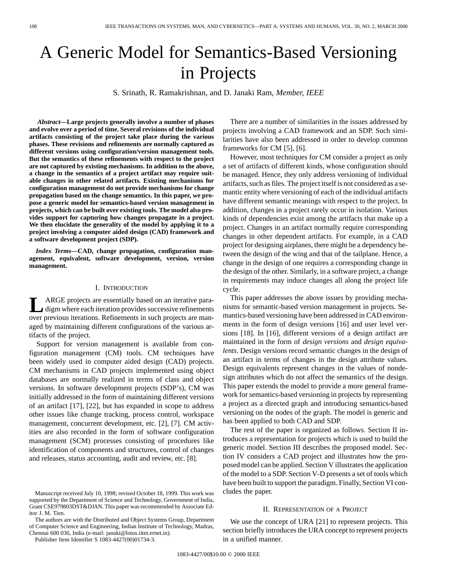# A Generic Model for Semantics-Based Versioning in Projects

S. Srinath, R. Ramakrishnan, and D. Janaki Ram*, Member, IEEE*

*Abstract—***Large projects generally involve a number of phases and evolve over a period of time. Several revisions of the individual artifacts consisting of the project take place during the various phases. These revisions and refinements are normally captured as different versions using configuration/version management tools. But the semantics of these refinements with respect to the project are not captured by existing mechanisms. In addition to the above, a change in the semantics of a project artifact may require suitable changes in other related artifacts. Existing mechanisms for configuration management do not provide mechanisms for change propagation based on the change semantics. In this paper, we propose a generic model for semantics-based version management in projects, which can be built over existing tools. The model also provides support for capturing how changes propagate in a project. We then elucidate the generality of the model by applying it to a project involving a computer aided design (CAD) framework and a software development project (SDP).**

*Index Terms—***CAD, change propagation, configuration management, equivalent, software development, version, version management.**

## I. INTRODUCTION

LARGE projects are essentially based on an iterative para-<br>digm where each iteration provides successive refinements<br>and provides successive refinements over previous iterations. Refinements in such projects are managed by maintaining different configurations of the various artifacts of the project.

Support for version management is available from configuration management (CM) tools. CM techniques have been widely used in computer aided design (CAD) projects. CM mechanisms in CAD projects implemented using object databases are normally realized in terms of class and object versions. In software development projects (SDP's), CM was initially addressed in the form of maintaining different versions of an artifact [17], [22], but has expanded in scope to address other issues like change tracking, process control, workspace management, concurrent development, etc. [2], [7]. CM activities are also recorded in the form of software configuration management (SCM) processes consisting of procedures like identification of components and structures, control of changes and releases, status accounting, audit and review, etc. [8].

The authors are with the Distributed and Object Systems Group, Department of Computer Science and Engineering, Indian Institute of Technology, Madras, Chennai 600 036, India (e-mail: janaki@lotus.iitm.ernet.in).

Publisher Item Identifier S 1083-4427(00)01734-3.

There are a number of similarities in the issues addressed by projects involving a CAD framework and an SDP. Such similarities have also been addressed in order to develop common frameworks for CM [5], [6].

However, most techniques for CM consider a project as only a set of artifacts of different kinds, whose configuration should be managed. Hence, they only address versioning of individual artifacts, such as files. The project itself is not considered as a semantic entity where versioning of each of the individual artifacts have different semantic meanings with respect to the project. In addition, changes in a project rarely occur in isolation. Various kinds of dependencies exist among the artifacts that make up a project. Changes in an artifact normally require corresponding changes in other dependent artifacts. For example, in a CAD project for designing airplanes, there might be a dependency between the design of the wing and that of the tailplane. Hence, a change in the design of one requires a corresponding change in the design of the other. Similarly, in a software project, a change in requirements may induce changes all along the project life cycle.

This paper addresses the above issues by providing mechanisms for semantic-based version management in projects. Semantics-based versioning have been addressed in CAD environments in the form of design versions [16] and user level versions [18]. In [16], different versions of a design artifact are maintained in the form of *design versions* and *design equivalents*. Design versions record semantic changes in the design of an artifact in terms of changes in the design attribute values. Design equivalents represent changes in the values of nondesign attributes which do not affect the semantics of the design. This paper extends the model to provide a more general framework for semantics-based versioning in projects by representing a project as a directed graph and introducing semantics-based versioning on the nodes of the graph. The model is generic and has been applied to both CAD and SDP.

The rest of the paper is organized as follows. Section II introduces a representation for projects which is used to build the generic model. Section III describes the proposed model. Section IV considers a CAD project and illustrates how the proposed model can be applied. Section V illustrates the application of the model to a SDP. Section V-D presents a set of tools which have been built to support the paradigm. Finally, Section VI concludes the paper.

## II. REPRESENTATION OF A PROJECT

We use the concept of URA [21] to represent projects. This section briefly introduces the URA concept to represent projects in a unified manner.

Manuscript received July 10, 1998; revised October 18, 1999. This work was supported by the Department of Science and Technology, Government of India, Grant CSE979803DST&DJAN. This paper was recommended by Associate Editor J. M. Tien.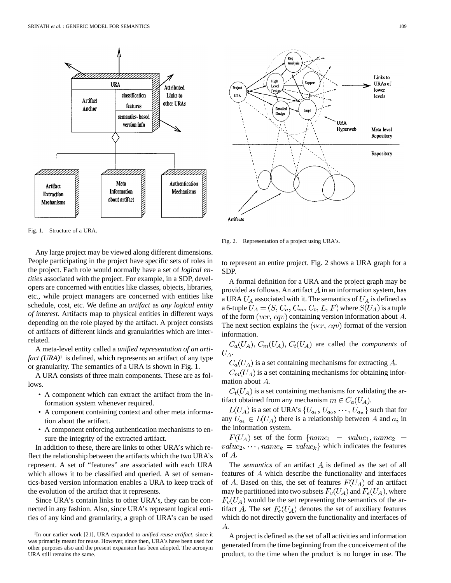

Fig. 1. Structure of a URA.

Any large project may be viewed along different dimensions. People participating in the project have specific sets of roles in the project. Each role would normally have a set of *logical entities* associated with the project. For example, in a SDP, developers are concerned with entities like classes, objects, libraries, etc., while project managers are concerned with entities like schedule, cost, etc. We define an *artifact* as *any logical entity of interest*. Artifacts map to physical entities in different ways depending on the role played by the artifact. A project consists of artifacts of different kinds and granularities which are interrelated.

A meta-level entity called a *unified representation of an artifact (URA)*<sup>1</sup> is defined, which represents an artifact of any type or granularity. The semantics of a URA is shown in Fig. 1.

A URA consists of three main components. These are as follows.

- A component which can extract the artifact from the information system whenever required.
- A component containing context and other meta information about the artifact.
- A component enforcing authentication mechanisms to ensure the integrity of the extracted artifact.

In addition to these, there are links to other URA's which reflect the relationship between the artifacts which the two URA's represent. A set of "features" are associated with each URA which allows it to be classified and queried. A set of semantics-based version information enables a URA to keep track of the evolution of the artifact that it represents.

Since URA's contain links to other URA's, they can be connected in any fashion. Also, since URA's represent logical entities of any kind and granularity, a graph of URA's can be used



Fig. 2. Representation of a project using URA's.

to represent an entire project. Fig. 2 shows a URA graph for a SDP.

A formal definition for a URA and the project graph may be provided as follows. An artifact  $A$  in an information system, has a URA  $U_A$  associated with it. The semantics of  $U_A$  is defined as a 6-tuple  $U_A = (S, C_a, C_m, C_t, L, F)$  where  $S(U_A)$  is a tuple of the form (ver, eqv) containing version information about  $A$ . The next section explains the *(ver, eqv)* format of the version information.

 $C_a(U_A)$ ,  $C_m(U_A)$ ,  $C_t(U_A)$  are called the *components* of  $U_A$ .

 $C_a(U_A)$  is a set containing mechanisms for extracting A.

 $C_m(U_A)$  is a set containing mechanisms for obtaining information about  $A$ .

 $C_t(U_A)$  is a set containing mechanisms for validating the artifact obtained from any mechanism  $m \in C_a(U_A)$ .

 $L(U_A)$  is a set of URA's  $\{U_{a_1}, U_{a_2}, \cdots, U_{a_n}\}$  such that for any  $U_{a_i} \in L(U_A)$  there is a relationship between A and  $a_i$  in the information system.

 $F(U_A)$  set of the form  $\{name_1 = value_1, name_2 =$  $value_2, \dots, name_k = value_k$  which indicates the features of  $A$ .

The *semantics* of an artifact  $\vec{A}$  is defined as the set of all features of  $A$  which describe the functionality and interfaces of A. Based on this, the set of features  $F(U_A)$  of an artifact may be partitioned into two subsets  $F_v(U_A)$  and  $F_e(U_A)$ , where  $F_v(U_A)$  would be the set representing the semantics of the artifact A. The set  $F_e(U_A)$  denotes the set of auxiliary features which do not directly govern the functionality and interfaces of A.

A project is defined as the set of all activities and information generated from the time beginning from the conceivement of the product, to the time when the product is no longer in use. The

<sup>&</sup>lt;sup>1</sup>In our earlier work [21], URA expanded to *unified reuse artifact*, since it was primarily meant for reuse. However, since then, URA's have been used for other purposes also and the present expansion has been adopted. The acronym URA still remains the same.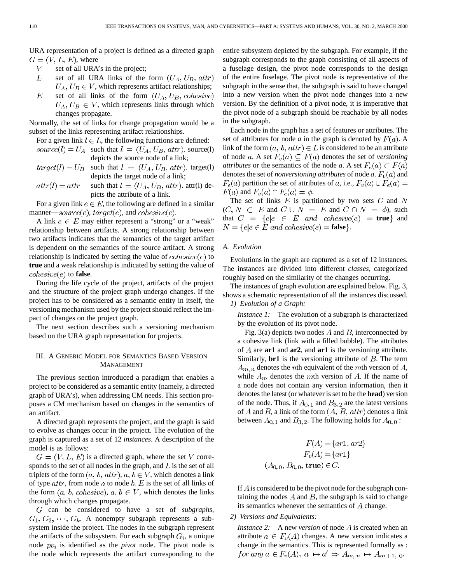URA representation of a project is defined as a directed graph  $G = (V, L, E)$ , where

- $\boldsymbol{V}$ set of all URA's in the project;
- set of all URA links of the form  $(U_A, U_B, attr)$ L  $U_A, U_B \in V$ , which represents artifact relationships;
- $\boldsymbol{E}$ set of all links of the form  $(U_A, U_B, cohesive)$  $U_A, U_B \in V$ , which represents links through which changes propagate.

Normally, the set of links for change propagation would be a subset of the links representing artifact relationships.

For a given link  $l \in L$ , the following functions are defined:

source(l) =  $U_A$  such that  $l = (U_A, U_B, attr)$ . source(l) depicts the source node of a link;

 $target(l) = U_B$  such that  $l = (U_A, U_B, attr)$ . target(l) depicts the target node of a link;

$$
attr(l) = attr
$$
 such that  $l = (U_A, U_B, attr)$ .  
attr(l) depicts the attribute of a link.

For a given link  $e \in E$ , the following are defined in a similar manner— $source(e)$ ,  $target(e)$ , and  $cohesive(e)$ .

A link  $e \in E$  may either represent a "strong" or a "weak" relationship between artifacts. A strong relationship between two artifacts indicates that the semantics of the target artifact is dependent on the semantics of the source artifact. A strong relationship is indicated by setting the value of  $cohesive(e)$  to **true** and a weak relationship is indicated by setting the value of  $cohesive(e)$  to **false**.

During the life cycle of the project, artifacts of the project and the structure of the project graph undergo changes. If the project has to be considered as a semantic entity in itself, the versioning mechanism used by the project should reflect the impact of changes on the project graph.

The next section describes such a versioning mechanism based on the URA graph representation for projects.

# III. A GENERIC MODEL FOR SEMANTICS BASED VERSION MANAGEMENT

The previous section introduced a paradigm that enables a project to be considered as a semantic entity (namely, a directed graph of URA's), when addressing CM needs. This section proposes a CM mechanism based on changes in the semantics of an artifact.

A directed graph represents the project, and the graph is said to evolve as changes occur in the project. The evolution of the graph is captured as a set of 12 *instances*. A description of the model is as follows:

 $G = (V, L, E)$  is a directed graph, where the set V corresponds to the set of all nodes in the graph, and  $L$  is the set of all triplets of the form  $(a, b, attr), a, b \in V$ , which denotes a link of type  $attr$ , from node a to node b. E is the set of all links of the form  $(a, b, \text{cohesive})$ ,  $a, b \in V$ , which denotes the links through which changes propagate.

can be considered to have a set of *subgraphs*,  $G_1, G_2, \cdots, G_k$ . A nonempty subgraph represents a subsystem inside the project. The nodes in the subgraph represent the artifacts of the subsystem. For each subgraph  $G_i$ , a unique node  $pv_i$  is identified as the *pivot* node. The pivot node is the node which represents the artifact corresponding to the entire subsystem depicted by the subgraph. For example, if the subgraph corresponds to the graph consisting of all aspects of a fuselage design, the pivot node corresponds to the design of the entire fuselage. The pivot node is representative of the subgraph in the sense that, the subgraph is said to have changed into a new version when the pivot node changes into a new version. By the definition of a pivot node, it is imperative that the pivot node of a subgraph should be reachable by all nodes in the subgraph.

Each node in the graph has a set of features or attributes. The set of attributes for node  $a$  in the graph is denoted by  $F(a)$ . A link of the form  $(a, b, attr) \in L$  is considered to be an attribute of node a. A set  $F_v(a) \subseteq F(a)$  denotes the set of *versioning attributes* or the semantics of the node *a*. A set  $F_e(a) \subset F(a)$ denotes the set of *nonversioning attributes* of node *a*.  $F_v(a)$  and  $F_e(a)$  partition the set of attributes of a, i.e.,  $F_v(a) \cup F_e(a) =$  $F(a)$  and  $F_v(a) \cap F_e(a) = \phi$ .

The set of links  $E$  is partitioned by two sets  $C$  and  $N$  $(C, N \subset E \text{ and } C \cup N = E \text{ and } C \cap N = \emptyset)$ , such that  $C = \{e | e \in E \text{ and } cohesive(e) = \text{true}\}\$ and  $N = \{e | e \in E \text{ and cohesive}(e) = \text{false}\}.$ 

## *A. Evolution*

Evolutions in the graph are captured as a set of 12 instances. The instances are divided into different *classes*, categorized roughly based on the similarity of the changes occurring.

The instances of graph evolution are explained below. Fig. 3, shows a schematic representation of all the instances discussed. *1) Evolution of a Graph:*

*Instance 1:* The evolution of a subgraph is characterized by the evolution of its pivot node.

Fig. 3(a) depicts two nodes  $A$  and  $B$ , interconnected by a cohesive link (link with a filled bubble). The attributes of are **ar1** and **ar2**, and **ar1** is the versioning attribute. Similarly,  $\mathbf{b} \mathbf{r} \mathbf{1}$  is the versioning attribute of  $B$ . The term  $A_{m,n}$  denotes the *n*th equivalent of the *m*th version of  $A$ , while  $A_m$  denotes the mth version of A. If the name of a node does not contain any version information, then it denotes the latest (or whatever is set to be the **head**) version of the node. Thus, if  $A_{0,1}$  and  $B_{3,2}$  are the latest versions of A and B, a link of the form  $(A, B, attr)$  denotes a link between  $A_{0,1}$  and  $B_{3,2}$ . The following holds for  $A_{0,0}$ :

$$
F(A) = \{ar1, ar2\}
$$

$$
F_v(A) = \{ar1\}
$$

$$
(A_{0,0}, B_{0,0}, \text{true}) \in C.
$$

If  $\overline{A}$  is considered to be the pivot node for the subgraph containing the nodes  $A$  and  $B$ , the subgraph is said to change its semantics whenever the semantics of  $A$  change.

## *2) Versions and Equivalents:*

*Instance 2:* A new *version* of node A is created when an attribute  $a \in F_v(A)$  changes. A new version indicates a change in the semantics. This is represented formally as : for any  $a \in F_v(A)$ ,  $a \mapsto a' \Rightarrow A_{m, n} \mapsto A_{m+1, 0}$ .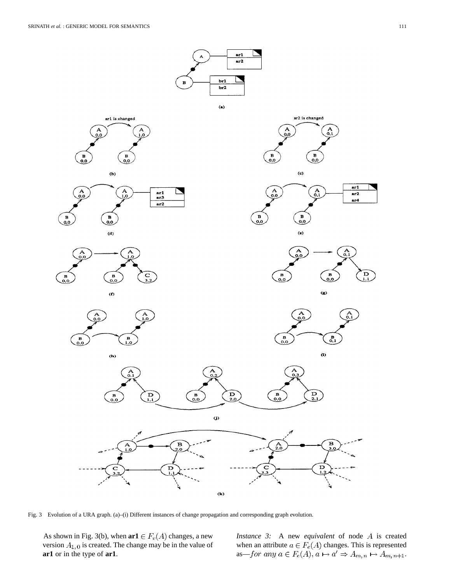

Fig. 3 Evolution of a URA graph. (a)–(i) Different instances of change propagation and corresponding graph evolution.

As shown in Fig. 3(b), when  $\textbf{ar1} \in F_v(A)$  changes, a new version  $A_{1,0}$  is created. The change may be in the value of **ar1** or in the type of **ar1**.

*Instance 3:* A new *equivalent* of node A is created when an attribute  $a \in F_e(A)$  changes. This is represented as—for any  $a \in F_e(A)$ ,  $a \mapsto a' \Rightarrow A_{m,n} \mapsto A_{m,n+1}$ .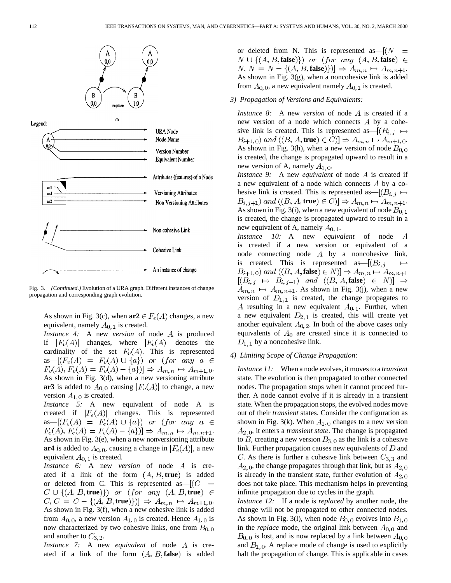

Fig. 3. *(Continued.)* Evolution of a URA graph. Different instances of change propagation and corresponding graph evolution.

As shown in Fig. 3(c), when  $\mathbf{ar2} \in F_e(A)$  changes, a new equivalent, namely  $A_{0,1}$  is created.

*Instance 4:* A new *version* of node A is produced if  $|F_v(A)|$  changes, where  $|F_v(A)|$  denotes the cardinality of the set  $F_v(A)$ . This is represented as  $-[F_v(A) = F_v(A) \cup \{a\})$  or (for any  $a \in$  $F_v(A), F_v(A) = F_v(A) - \{a\}) \Rightarrow A_{m,n} \mapsto A_{m+1,0}.$ As shown in Fig. 3(d), when a new versioning attribute **ar3** is added to  $A_{0,0}$  causing  $|F_v(A)|$  to change, a new version  $A_{1,0}$  is created.

*Instance 5:* A new equivalent of node A is created if  $|F_e(A)|$  changes. This is represented as  $-[F_e(A) = F_e(A) \cup \{a\})$  or (for any  $a \in$  $F_e(A), F_e(A) = F_e(A) - \{a\}) \Rightarrow A_{m,n} \mapsto A_{m,n+1}.$ As shown in Fig. 3(e), when a new nonversioning attribute **ar4** is added to  $A_{0,0}$ , causing a change in  $|F_e(A)|$ , a new equivalent  $A_{0,1}$  is created.

*Instance* 6: A new *version* of node  $A$  is created if a link of the form  $(A, B, true)$  is added or deleted from C. This is represented as— $(C =$  $C \cup \{(A, B, \text{true})\}$  or  $(for \ any \ (A, B, \text{true}) \in$  $C, C = C - \{(A, B, true)\})$   $\Rightarrow$   $A_{m,n} \mapsto A_{m+1,0}$ . As shown in Fig. 3(f), when a new cohesive link is added from  $A_{0,0}$ , a new version  $A_{1,0}$  is created. Hence  $A_{1,0}$  is now characterized by two cohesive links, one from  $B_{0,0}$ and another to  $C_{3,2}$ .

*Instance* 7: A new *equivalent* of node  $\overline{A}$  is created if a link of the form  $(A, B, false)$  is added or deleted from N. This is represented as  $-[N]$  $\equiv$  $N \cup \{(A, B, \text{false})\}$  or  $(for any (A, B, \text{false}) \in$  $N, N = N - \{(A, B, \text{false})\}\}\Rightarrow A_{m,n} \mapsto A_{m,n+1}.$ As shown in Fig. 3(g), when a noncohesive link is added from  $A_{0,0}$ , a new equivalent namely  $A_{0,1}$  is created.

## *3) Propagation of Versions and Equivalents:*

*Instance* 8: A new *version* of node  $A$  is created if a new version of a node which connects  $A$  by a cohesive link is created. This is represented as  $-[B_i]_i \mapsto$  $B_{i+1,0}$ ) and  $((B, A, \text{true}) \in C] \Rightarrow A_{m,n} \mapsto A_{m+1,0}.$ As shown in Fig. 3(h), when a new version of node  $B_{0,0}$ is created, the change is propagated upward to result in a new version of A, namely  $A_{1,0}$ .

*Instance 9:* A new *equivalent* of node A is created if a new equivalent of a node which connects  $A$  by a cohesive link is created. This is represented as  $-[B_{i,j} \mapsto$  $B_{i, j+1}$  and  $((B, A, \text{true}) \in C] \Rightarrow A_{m, n} \mapsto A_{m, n+1}.$ As shown in Fig. 3(i), when a new equivalent of node  $B_{0,1}$ is created, the change is propagated upward to result in a new equivalent of A, namely  $A_{0,1}$ .

*Instance 10:* A new *equivalent* of node  $\boldsymbol{A}$ is created if a new version or equivalent of a node connecting node  $A$  by a noncohesive link, is created. This is represented as  $-[B_{i,j}]$  $B_{i+1,0}$ ) and  $((B, A, \text{false}) \in N)] \Rightarrow A_{m,n} \mapsto A_{m,n+1}$  $[(B_{i,j} \mapsto B_{i,j+1})$  and  $((B, A, \text{false}) \in N)] \Rightarrow$  $A_{m,n} \mapsto A_{m,n+1}$ . As shown in Fig. 3(j), when a new version of  $D_{1,1}$  is created, the change propagates to A resulting in a new equivalent  $A_{0,1}$ . Further, when a new equivalent  $D_{2,1}$  is created, this will create yet another equivalent  $A_{0,2}$ . In both of the above cases only equivalents of  $A_0$  are created since it is connected to  $D_{1,1}$  by a noncohesive link.

## *4) Limiting Scope of Change Propagation:*

*Instance 11:* When a node evolves, it moves to a *transient* state. The evolution is then propagated to other connected nodes. The propagation stops when it cannot proceed further. A node cannot evolve if it is already in a transient state. When the propagation stops, the evolved nodes move out of their *transient* states. Consider the configuration as shown in Fig. 3(k). When  $A_{1,0}$  changes to a new version , it enters a *transient state*. The change is propagated to B, creating a new version  $B_{3,0}$  as the link is a cohesive link. Further propagation causes new equivalents of  $D$  and C. As there is further a cohesive link between  $C_{3,3}$  and  $A_{2,0}$ , the change propagates through that link, but as  $A_{2,0}$ is already in the transient state, further evolution of  $A_{2,0}$ does not take place. This mechanism helps in preventing infinite propagation due to cycles in the graph.

*Instance 12:* If a node is *replaced* by another node, the change will not be propagated to other connected nodes. As shown in Fig. 3(1), when node  $B_{0,0}$  evolves into  $B_{1,0}$ in the *replace* mode, the original link between  $A_{0,0}$  and  $B_{0,0}$  is lost, and is now replaced by a link between  $A_{0,0}$ and  $B_{1,0}$ . A replace mode of change is used to explicitly halt the propagation of change. This is applicable in cases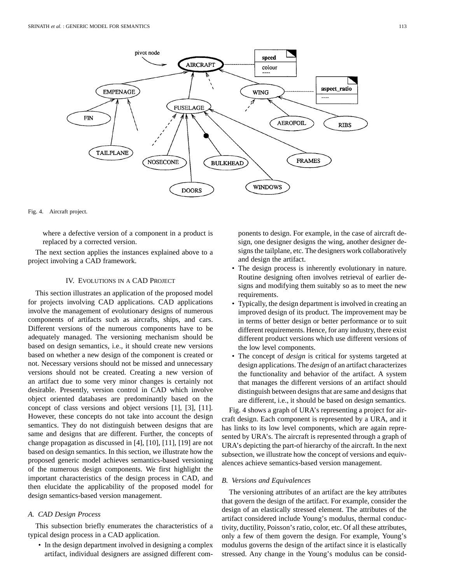

Fig. 4. Aircraft project.

where a defective version of a component in a product is replaced by a corrected version.

The next section applies the instances explained above to a project involving a CAD framework.

## IV. EVOLUTIONS IN A CAD PROJECT

This section illustrates an application of the proposed model for projects involving CAD applications. CAD applications involve the management of evolutionary designs of numerous components of artifacts such as aircrafts, ships, and cars. Different versions of the numerous components have to be adequately managed. The versioning mechanism should be based on design semantics, i.e., it should create new versions based on whether a new design of the component is created or not. Necessary versions should not be missed and unnecessary versions should not be created. Creating a new version of an artifact due to some very minor changes is certainly not desirable. Presently, version control in CAD which involve object oriented databases are predominantly based on the concept of class versions and object versions [1], [3], [11]. However, these concepts do not take into account the design semantics. They do not distinguish between designs that are same and designs that are different. Further, the concepts of change propagation as discussed in [4], [10], [11], [19] are not based on design semantics. In this section, we illustrate how the proposed generic model achieves semantics-based versioning of the numerous design components. We first highlight the important characteristics of the design process in CAD, and then elucidate the applicability of the proposed model for design semantics-based version management.

## *A. CAD Design Process*

This subsection briefly enumerates the characteristics of a typical design process in a CAD application.

• In the design department involved in designing a complex artifact, individual designers are assigned different components to design. For example, in the case of aircraft design, one designer designs the wing, another designer designs the tailplane, etc. The designers work collaboratively and design the artifact.

- The design process is inherently evolutionary in nature. Routine designing often involves retrieval of earlier designs and modifying them suitably so as to meet the new requirements.
- Typically, the design department is involved in creating an improved design of its product. The improvement may be in terms of better design or better performance or to suit different requirements. Hence, for any industry, there exist different product versions which use different versions of the low level components.
- The concept of *design* is critical for systems targeted at design applications. The *design* of an artifact characterizes the functionality and behavior of the artifact. A system that manages the different versions of an artifact should distinguish between designs that are same and designs that are different, i.e., it should be based on design semantics.

Fig. 4 shows a graph of URA's representing a project for aircraft design. Each component is represented by a URA, and it has links to its low level components, which are again represented by URA's. The aircraft is represented through a graph of URA's depicting the part-of hierarchy of the aircraft. In the next subsection, we illustrate how the concept of versions and equivalences achieve semantics-based version management.

## *B. Versions and Equivalences*

The versioning attributes of an artifact are the key attributes that govern the design of the artifact. For example, consider the design of an elastically stressed element. The attributes of the artifact considered include Young's modulus, thermal conductivity, ductility, Poisson's ratio, color, etc. Of all these attributes, only a few of them govern the design. For example, Young's modulus governs the design of the artifact since it is elastically stressed. Any change in the Young's modulus can be consid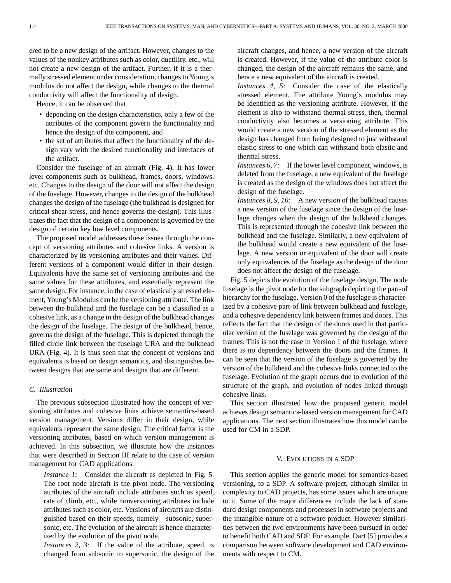ered to be a new design of the artifact. However, changes to the values of the nonkey attributes such as color, ductility, etc., will not create a new design of the artifact. Further, if it is a thermally stressed element under consideration, changes to Young's modulus do not affect the design, while changes to the thermal conductivity will affect the functionality of design.

Hence, it can be observed that

- depending on the design characteristics, only a few of the attributes of the component govern the functionality and hence the design of the component, and
- the set of attributes that affect the functionality of the design vary with the desired functionality and interfaces of the artifact.

Consider the fuselage of an aircraft (Fig. 4). It has lower level components such as bulkhead, frames, doors, windows, etc. Changes to the design of the door will not affect the design of the fuselage. However, changes to the design of the bulkhead changes the design of the fuselage (the bulkhead is designed for critical shear stress, and hence governs the design). This illustrates the fact that the design of a component is governed by the design of certain key low level components.

The proposed model addresses these issues through the concept of versioning attributes and cohesive links. A version is characterized by its versioning attributes and their values. Different versions of a component would differ in their design. Equivalents have the same set of versioning attributes and the same values for these attributes, and essentially represent the same design. For instance, in the case of elastically stressed element, Young's Modulus can be the versioning attribute. The link between the bulkhead and the fuselage can be a classified as a cohesive link, as a change in the design of the bulkhead changes the design of the fuselage. The design of the bulkhead, hence, governs the design of the fuselage. This is depicted through the filled circle link between the fuselage URA and the bulkhead URA (Fig. 4). It is thus seen that the concept of versions and equivalents is based on design semantics, and distinguishes between designs that are same and designs that are different.

## *C. Illustration*

The previous subsection illustrated how the concept of versioning attributes and cohesive links achieve semantics-based version management. Versions differ in their design, while equivalents represent the same design. The critical factor is the versioning attributes, based on which version management is achieved. In this subsection, we illustrate how the instances that were described in Section III relate to the case of version management for CAD applications.

*Instance 1:* Consider the aircraft as depicted in Fig. 5. The root node aircraft is the pivot node. The versioning attributes of the aircraft include attributes such as speed, rate of climb, etc., while nonversioning attributes include attributes such as color, etc. Versions of aircrafts are distinguished based on their speeds, namely—subsonic, supersonic, etc. The evolution of the aircraft is hence characterized by the evolution of the pivot node.

*Instances 2, 3:* If the value of the attribute, speed, is changed from subsonic to supersonic, the design of the aircraft changes, and hence, a new version of the aircraft is created. However, if the value of the attribute color is changed, the design of the aircraft remains the same, and hence a new equivalent of the aircraft is created.

*Instances 4, 5:* Consider the case of the elastically stressed element. The attribute Young's modulus may be identified as the versioning attribute. However, if the element is also to withstand thermal stress, then, thermal conductivity also becomes a versioning attribute. This would create a new version of the stressed element as the design has changed from being designed to just withstand elastic stress to one which can withstand both elastic and thermal stress.

*Instances 6, 7:* If the lower level component, windows, is deleted from the fuselage, a new equivalent of the fuselage is created as the design of the windows does not affect the design of the fuselage.

*Instances 8, 9, 10:* A new version of the bulkhead causes a new version of the fuselage since the design of the fuselage changes when the design of the bulkhead changes. This is represented through the cohesive link between the bulkhead and the fuselage. Similarly, a new equivalent of the bulkhead would create a new equivalent of the fuselage. A new version or equivalent of the door will create only equivalences of the fuselage as the design of the door does not affect the design of the fuselage.

Fig. 5 depicts the evolution of the fuselage design. The node fuselage is the pivot node for the subgraph depicting the part-of hierarchy for the fuselage. Version 0 of the fuselage is characterized by a cohesive part-of link between bulkhead and fuselage, and a cohesive dependency link between frames and doors. This reflects the fact that the design of the doors used in that particular version of the fuselage was governed by the design of the frames. This is not the case in Version 1 of the fuselage, where there is no dependency between the doors and the frames. It can be seen that the version of the fuselage is governed by the version of the bulkhead and the cohesive links connected to the fuselage. Evolution of the graph occurs due to evolution of the structure of the graph, and evolution of nodes linked through cohesive links.

This section illustrated how the proposed generic model achieves design semantics-based version management for CAD applications. The next section illustrates how this model can be used for CM in a SDP.

## V. EVOLUTIONS IN A SDP

This section applies the generic model for semantics-based versioning, to a SDP. A software project, although similar in complexity to CAD projects, has some issues which are unique to it. Some of the major differences include the lack of standard design components and processes in software projects and the intangible nature of a software product. However similarities between the two environments have been pursued in order to benefit both CAD and SDP. For example, Dart [5] provides a comparison between software development and CAD environments with respect to CM.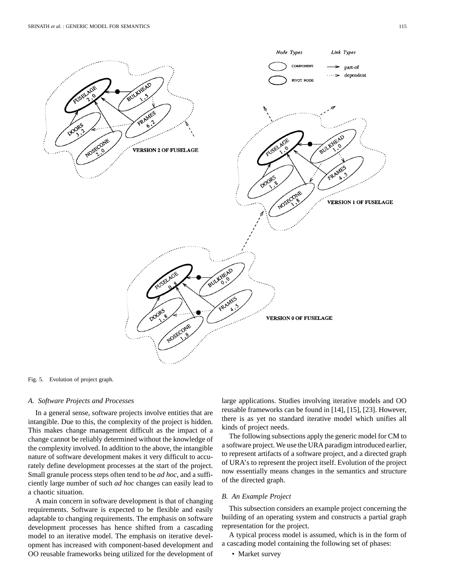**DORS** 

NOSECONE

BULKHEAD





Fig. 5. Evolution of project graph.

## *A. Software Projects and Processes*

In a general sense, software projects involve entities that are intangible. Due to this, the complexity of the project is hidden. This makes change management difficult as the impact of a change cannot be reliably determined without the knowledge of the complexity involved. In addition to the above, the intangible nature of software development makes it very difficult to accurately define development processes at the start of the project. Small granule process steps often tend to be *ad hoc*, and a sufficiently large number of such *ad hoc* changes can easily lead to a chaotic situation.

A main concern in software development is that of changing requirements. Software is expected to be flexible and easily adaptable to changing requirements. The emphasis on software development processes has hence shifted from a cascading model to an iterative model. The emphasis on iterative development has increased with component-based development and OO reusable frameworks being utilized for the development of large applications. Studies involving iterative models and OO reusable frameworks can be found in [14], [15], [23]. However, there is as yet no standard iterative model which unifies all kinds of project needs.

The following subsections apply the generic model for CM to a software project. We use the URA paradigm introduced earlier, to represent artifacts of a software project, and a directed graph of URA's to represent the project itself. Evolution of the project now essentially means changes in the semantics and structure of the directed graph.

#### *B. An Example Project*

This subsection considers an example project concerning the building of an operating system and constructs a partial graph representation for the project.

A typical process model is assumed, which is in the form of a cascading model containing the following set of phases:

• Market survey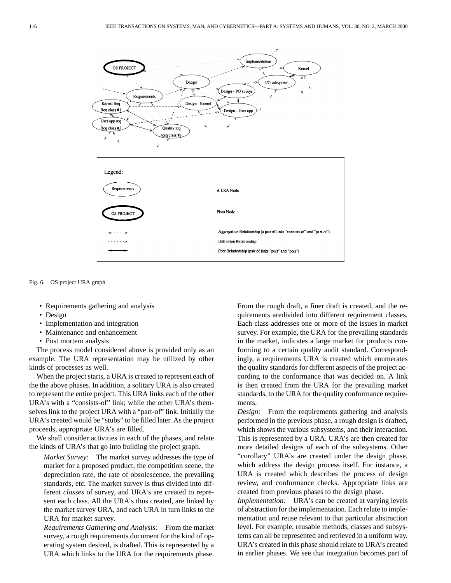



Fig. 6. OS project URA graph.

- Requirements gathering and analysis
- Design
- Implementation and integration
- Maintenance and enhancement
- Post mortem analysis

The process model considered above is provided only as an example. The URA representation may be utilized by other kinds of processes as well.

When the project starts, a URA is created to represent each of the the above phases. In addition, a solitary URA is also created to represent the entire project. This URA links each of the other URA's with a "consists-of" link; while the other URA's themselves link to the project URA with a "part-of" link. Initially the URA's created would be "stubs" to be filled later. As the project proceeds, appropriate URA's are filled.

We shall consider activities in each of the phases, and relate the kinds of URA's that go into building the project graph.

*Market Survey:* The market survey addresses the type of market for a proposed product, the competition scene, the depreciation rate, the rate of obsolescence, the prevailing standards, etc. The market survey is thus divided into different *classes* of survey, and URA's are created to represent each class. All the URA's thus created, are linked by the market survey URA, and each URA in turn links to the URA for market survey.

*Requirements Gathering and Analysis:* From the market survey, a rough requirements document for the kind of operating system desired, is drafted. This is represented by a URA which links to the URA for the requirements phase. From the rough draft, a finer draft is created, and the requirements aredivided into different requirement classes. Each class addresses one or more of the issues in market survey. For example, the URA for the prevailing standards in the market, indicates a large market for products conforming to a certain quality audit standard. Correspondingly, a requirements URA is created which enumerates the quality standards for different aspects of the project according to the conformance that was decided on. A link is then created from the URA for the prevailing market standards, to the URA for the quality conformance requirements.

*Design:* From the requirements gathering and analysis performed in the previous phase, a rough design is drafted, which shows the various subsystems, and their interaction. This is represented by a URA. URA's are then created for more detailed designs of each of the subsystems. Other "corollary" URA's are created under the design phase, which address the design process itself. For instance, a URA is created which describes the process of design review, and conformance checks. Appropriate links are created from previous phases to the design phase.

*Implementation:* URA's can be created at varying levels of abstraction for the implementation. Each relate to implementation and reuse relevant to that particular abstraction level. For example, reusable methods, classes and subsystems can all be represented and retrieved in a uniform way. URA's created in this phase should relate to URA's created in earlier phases. We see that integration becomes part of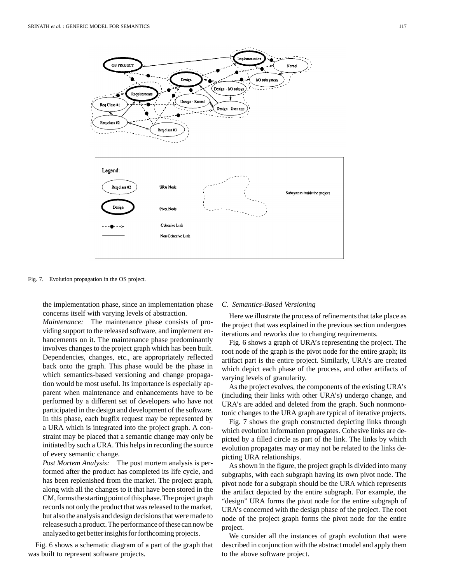

Fig. 7. Evolution propagation in the OS project.

the implementation phase, since an implementation phase concerns itself with varying levels of abstraction.

*Maintenance:* The maintenance phase consists of providing support to the released software, and implement enhancements on it. The maintenance phase predominantly involves changes to the project graph which has been built. Dependencies, changes, etc., are appropriately reflected back onto the graph. This phase would be the phase in which semantics-based versioning and change propagation would be most useful. Its importance is especially apparent when maintenance and enhancements have to be performed by a different set of developers who have not participated in the design and development of the software. In this phase, each bugfix request may be represented by a URA which is integrated into the project graph. A constraint may be placed that a semantic change may only be initiated by such a URA. This helps in recording the source of every semantic change.

*Post Mortem Analysis:* The post mortem analysis is performed after the product has completed its life cycle, and has been replenished from the market. The project graph, along with all the changes to it that have been stored in the CM, forms the starting point of this phase. The project graph records not only the product that was released to the market, but also the analysis and design decisions that were made to release such a product. The performance of these can now be analyzed to get better insights for forthcoming projects.

Fig. 6 shows a schematic diagram of a part of the graph that was built to represent software projects.

#### *C. Semantics-Based Versioning*

Here we illustrate the process of refinements that take place as the project that was explained in the previous section undergoes iterations and reworks due to changing requirements.

Fig. 6 shows a graph of URA's representing the project. The root node of the graph is the pivot node for the entire graph; its artifact part is the entire project. Similarly, URA's are created which depict each phase of the process, and other artifacts of varying levels of granularity.

As the project evolves, the components of the existing URA's (including their links with other URA's) undergo change, and URA's are added and deleted from the graph. Such nonmonotonic changes to the URA graph are typical of iterative projects.

Fig. 7 shows the graph constructed depicting links through which evolution information propagates. Cohesive links are depicted by a filled circle as part of the link. The links by which evolution propagates may or may not be related to the links depicting URA relationships.

As shown in the figure, the project graph is divided into many subgraphs, with each subgraph having its own pivot node. The pivot node for a subgraph should be the URA which represents the artifact depicted by the entire subgraph. For example, the "design" URA forms the pivot node for the entire subgraph of URA's concerned with the design phase of the project. The root node of the project graph forms the pivot node for the entire project.

We consider all the instances of graph evolution that were described in conjunction with the abstract model and apply them to the above software project.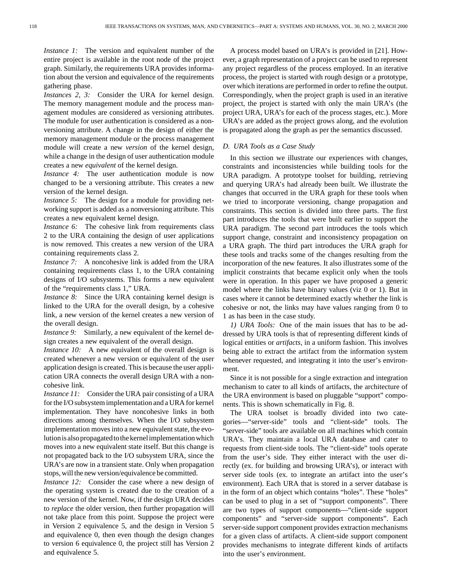*Instance 1:* The version and equivalent number of the entire project is available in the root node of the project graph. Similarly, the requirements URA provides information about the version and equivalence of the requirements gathering phase.

*Instances 2, 3:* Consider the URA for kernel design. The memory management module and the process management modules are considered as versioning attributes. The module for user authentication is considered as a nonversioning attribute. A change in the design of either the memory management module or the process management module will create a new *version* of the kernel design, while a change in the design of user authentication module creates a new *equivalent* of the kernel design.

*Instance 4:* The user authentication module is now changed to be a versioning attribute. This creates a new version of the kernel design.

*Instance 5:* The design for a module for providing networking support is added as a nonversioning attribute. This creates a new equivalent kernel design.

*Instance 6:* The cohesive link from requirements class 2 to the URA containing the design of user applications is now removed. This creates a new version of the URA containing requirements class 2.

*Instance 7:* A noncohesive link is added from the URA containing requirements class 1, to the URA containing designs of I/O subsystems. This forms a new equivalent of the "requirements class 1," URA.

*Instance 8:* Since the URA containing kernel design is linked to the URA for the overall design, by a cohesive link, a new version of the kernel creates a new version of the overall design.

*Instance 9:* Similarly, a new equivalent of the kernel design creates a new equivalent of the overall design.

*Instance 10:* A new equivalent of the overall design is created whenever a new version or equivalent of the user application design is created. This is because the user application URA connects the overall design URA with a noncohesive link.

*Instance 11:* Consider the URA pair consisting of a URA for the I/O subsystem implementation and a URA for kernel implementation. They have noncohesive links in both directions among themselves. When the I/O subsystem implementation moves into a new equivalent state, the evolution is also propagated to the kernel implementation which moves into a new equivalent state itself. But this change is not propagated back to the I/O subsystem URA, since the URA's are now in a transient state. Only when propagation stops, will the new version/equivalence be committed.

*Instance 12:* Consider the case where a new design of the operating system is created due to the creation of a new version of the kernel. Now, if the design URA decides to *replace* the older version, then further propagation will not take place from this point. Suppose the project were in Version 2 equivalence 5, and the design in Version 5 and equivalence 0, then even though the design changes to version 6 equivalence 0, the project still has Version 2 and equivalence 5.

A process model based on URA's is provided in [21]. However, a graph representation of a project can be used to represent any project regardless of the process employed. In an iterative process, the project is started with rough design or a prototype, over which iterations are performed in order to refine the output. Correspondingly, when the project graph is used in an iterative project, the project is started with only the main URA's (the project URA, URA's for each of the process stages, etc.). More URA's are added as the project grows along, and the evolution is propagated along the graph as per the semantics discussed.

## *D. URA Tools as a Case Study*

In this section we illustrate our experiences with changes, constraints and inconsistencies while building tools for the URA paradigm. A prototype toolset for building, retrieving and querying URA's had already been built. We illustrate the changes that occurred in the URA graph for these tools when we tried to incorporate versioning, change propagation and constraints. This section is divided into three parts. The first part introduces the tools that were built earlier to support the URA paradigm. The second part introduces the tools which support change, constraint and inconsistency propagation on a URA graph. The third part introduces the URA graph for these tools and tracks some of the changes resulting from the incorporation of the new features. It also illustrates some of the implicit constraints that became explicit only when the tools were in operation. In this paper we have proposed a generic model where the links have binary values (viz 0 or 1). But in cases where it cannot be determined exactly whether the link is cohesive or not, the links may have values ranging from 0 to 1 as has been in the case study.

*1) URA Tools:* One of the main issues that has to be addressed by URA tools is that of representing different kinds of logical entities or *artifacts*, in a uniform fashion. This involves being able to extract the artifact from the information system whenever requested, and integrating it into the user's environment.

Since it is not possible for a single extraction and integration mechanism to cater to all kinds of artifacts, the architecture of the URA environment is based on pluggable "support" components. This is shown schematically in Fig. 8.

The URA toolset is broadly divided into two categories—"server-side" tools and "client-side" tools. The "server-side" tools are available on all machines which contain URA's. They maintain a local URA database and cater to requests from client-side tools. The "client-side" tools operate from the user's side. They either interact with the user directly (ex. for building and browsing URA's), or interact with server side tools (ex. to integrate an artifact into the user's environment). Each URA that is stored in a server database is in the form of an object which contains "holes". These "holes" can be used to plug in a set of "support components". There are two types of support components—"client-side support components" and "server-side support components". Each server-side support component provides extraction mechanisms for a given class of artifacts. A client-side support component provides mechanisms to integrate different kinds of artifacts into the user's environment.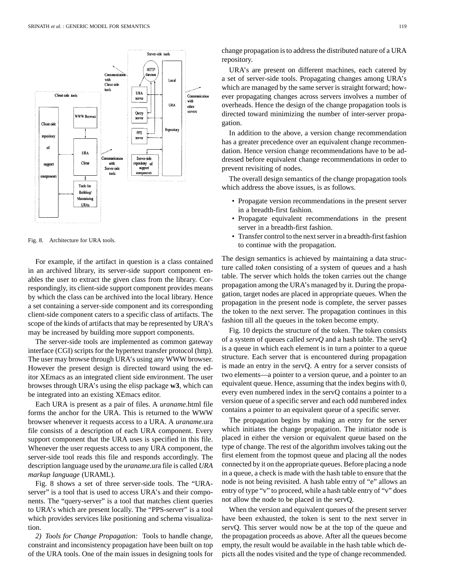

Fig. 8. Architecture for URA tools.

For example, if the artifact in question is a class contained in an archived library, its server-side support component enables the user to extract the given class from the library. Correspondingly, its client-side support component provides means by which the class can be archived into the local library. Hence a set containing a server-side component and its corresponding client-side component caters to a specific class of artifacts. The scope of the kinds of artifacts that may be represented by URA's may be increased by building more support components.

The server-side tools are implemented as common gateway interface (CGI) scripts for the hypertext transfer protocol (http). The user may browse through URA's using any WWW browser. However the present design is directed toward using the editor XEmacs as an integrated client side environment. The user browses through URA's using the elisp package **w3**, which can be integrated into an existing XEmacs editor.

Each URA is present as a pair of files. A *uraname*.html file forms the anchor for the URA. This is returned to the WWW browser whenever it requests access to a URA. A *uraname*.ura file consists of a description of each URA component. Every support component that the URA uses is specified in this file. Whenever the user requests access to any URA component, the server-side tool reads this file and responds accordingly. The description language used by the *uraname*.ura file is called *URA markup language* (URAML).

Fig. 8 shows a set of three server-side tools. The "URAserver" is a tool that is used to access URA's and their components. The "query-server" is a tool that matches client queries to URA's which are present locally. The "PPS-server" is a tool which provides services like positioning and schema visualization.

*2) Tools for Change Propagation:* Tools to handle change, constraint and inconsistency propagation have been built on top of the URA tools. One of the main issues in designing tools for change propagation is to address the distributed nature of a URA repository.

URA's are present on different machines, each catered by a set of server-side tools. Propagating changes among URA's which are managed by the same server is straight forward; however propagating changes across servers involves a number of overheads. Hence the design of the change propagation tools is directed toward minimizing the number of inter-server propagation.

In addition to the above, a version change recommendation has a greater precedence over an equivalent change recommendation. Hence version change recommendations have to be addressed before equivalent change recommendations in order to prevent revisiting of nodes.

The overall design semantics of the change propagation tools which address the above issues, is as follows.

- Propagate version recommendations in the present server in a breadth-first fashion.
- Propagate equivalent recommendations in the present server in a breadth-first fashion.
- Transfer control to the next server in a breadth-first fashion to continue with the propagation.

The design semantics is achieved by maintaining a data structure called *token* consisting of a system of queues and a hash table. The server which holds the token carries out the change propagation among the URA's managed by it. During the propagation, target nodes are placed in appropriate queues. When the propagation in the present node is complete, the server passes the token to the next server. The propagation continues in this fashion till all the queues in the token become empty.

Fig. 10 depicts the structure of the token. The token consists of a system of queues called *servQ* and a hash table. The servQ is a queue in which each element is in turn a pointer to a queue structure. Each server that is encountered during propagation is made an entry in the servQ. A entry for a server consists of two elements—a pointer to a version queue, and a pointer to an equivalent queue. Hence, assuming that the index begins with 0, every even numbered index in the servQ contains a pointer to a version queue of a specific server and each odd numbered index contains a pointer to an equivalent queue of a specific server.

The propagation begins by making an entry for the server which initiates the change propagation. The initiator node is placed in either the version or equivalent queue based on the type of change. The rest of the algorithm involves taking out the first element from the topmost queue and placing all the nodes connected by it on the appropriate queues. Before placing a node in a queue, a check is made with the hash table to ensure that the node is not being revisited. A hash table entry of "e" allows an entry of type "v" to proceed, while a hash table entry of "v" does not allow the node to be placed in the servQ.

When the version and equivalent queues of the present server have been exhausted, the token is sent to the next server in servQ. This server would now be at the top of the queue and the propagation proceeds as above. After all the queues become empty, the result would be available in the hash table which depicts all the nodes visited and the type of change recommended.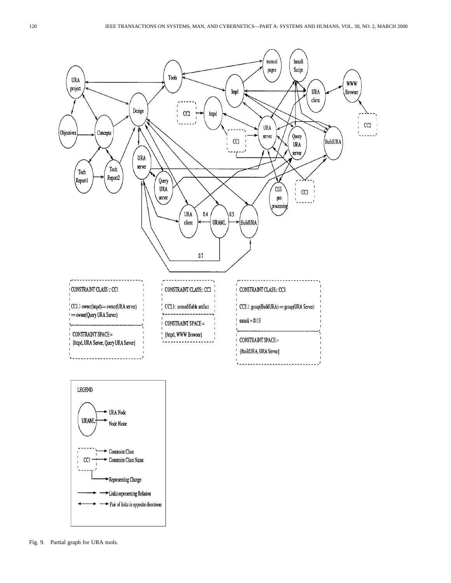



Fig. 9. Partial graph for URA tools.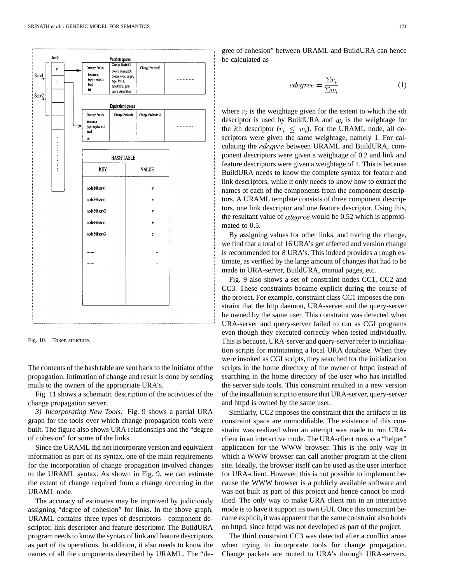

Fig. 10. Token structure.

The contents of the hash table are sent back to the initiator of the propagation. Intimation of change and result is done by sending mails to the owners of the appropriate URA's.

Fig. 11 shows a schematic description of the activities of the change propagation server.

*3) Incorporating New Tools:* Fig. 9 shows a partial URA graph for the tools over which change propagation tools were built. The figure also shows URA relationships and the "degree of cohesion" for some of the links.

Since the URAML did not incorporate version and equivalent information as part of its syntax, one of the main requirements for the incorporation of change propagation involved changes to the URAML syntax. As shown in Fig. 9, we can estimate the extent of change required from a change occurring in the URAML node.

The accuracy of estimates may be improved by judiciously assigning "degree of cohesion" for links. In the above graph, URAML contains three types of descriptors—component descriptor, link descriptor and feature descriptor. The BuildURA program needs to know the syntax of link and feature descriptors as part of its operations. In addition, it also needs to know the names of all the components described by URAML. The "degree of cohesion" between URAML and BuildURA can hence be calculated as—

$$
cdegree = \frac{\Sigma r_i}{\Sigma w_i} \tag{1}
$$

where  $r_i$  is the weightage given for the extent to which the *i*th descriptor is used by BuildURA and  $w_i$  is the weightage for the *i*th descriptor  $(r_i \leq w_i)$ . For the URAML node, all descriptors were given the same weightage, namely 1. For calculating the *cdegree* between URAML and BuildURA, component descriptors were given a weightage of 0.2 and link and feature descriptors were given a weightage of 1. This is because BuildURA needs to know the complete syntax for feature and link descriptors, while it only needs to know how to extract the names of each of the components from the component descriptors. A URAML template consists of three component descriptors, one link descriptor and one feature descriptor. Using this, the resultant value of *cdegree* would be 0.52 which is approximated to 0.5.

By assigning values for other links, and tracing the change, we find that a total of 16 URA's get affected and version change is recommended for 8 URA's. This indeed provides a rough estimate, as verified by the large amount of changes that had to be made in URA-server, BuildURA, manual pages, etc.

Fig. 9 also shows a set of constraint nodes CC1, CC2 and CC3. These constraints became explicit during the course of the project. For example, constraint class CC1 imposes the constraint that the http daemon, URA-server and the query-server be owned by the same user. This constraint was detected when URA-server and query-server failed to run as CGI programs even though they executed correctly when tested individually. This is because, URA-server and query-server refer to initialization scripts for maintaining a local URA database. When they were invoked as CGI scripts, they searched for the initialization scripts in the home directory of the owner of httpd instead of searching in the home directory of the user who has installed the server side tools. This constraint resulted in a new version of the installation script to ensure that URA-server, query-server and httpd is owned by the same user.

Similarly, CC2 imposes the constraint that the artifacts in its constraint space are unmodifiable. The existence of this constraint was realized when an attempt was made to run URAclient in an interactive mode. The URA-client runs as a "helper" application for the WWW browser. This is the only way in which a WWW browser can call another program at the client site. Ideally, the browser itself can be used as the user interface for URA-client. However, this is not possible to implement because the WWW browser is a publicly available software and was not built as part of this project and hence cannot be modified. The only way to make URA client run in an interactive mode is to have it support its own GUI. Once this constraint became explicit, it was apparent that the same constraint also holds on httpd, since httpd was not developed as part of the project.

The third constraint CC3 was detected after a conflict arose when trying to incorporate tools for change propagation. Change packets are routed to URA's through URA-servers.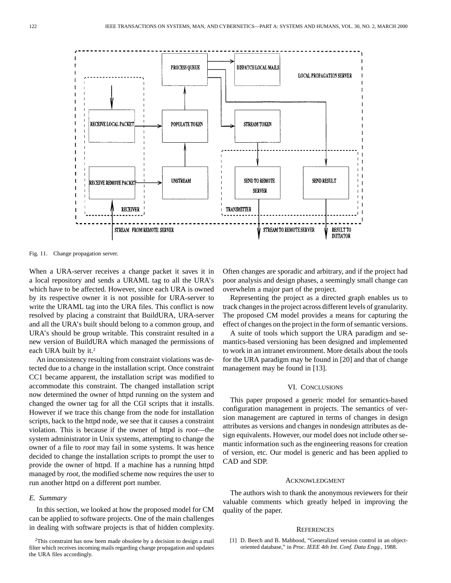

Fig. 11. Change propagation server.

When a URA-server receives a change packet it saves it in a local repository and sends a URAML tag to all the URA's which have to be affected. However, since each URA is owned by its respective owner it is not possible for URA-server to write the URAML tag into the URA files. This conflict is now resolved by placing a constraint that BuildURA, URA-server and all the URA's built should belong to a common group, and URA's should be group writable. This constraint resulted in a new version of BuildURA which managed the permissions of each URA built by it.2

An inconsistency resulting from constraint violations was detected due to a change in the installation script. Once constraint CC1 became apparent, the installation script was modified to accommodate this constraint. The changed installation script now determined the owner of httpd running on the system and changed the owner tag for all the CGI scripts that it installs. However if we trace this change from the node for installation scripts, back to the httpd node, we see that it causes a constraint violation. This is because if the owner of httpd is *root*—the system administrator in Unix systems, attempting to change the owner of a file to *root* may fail in some systems. It was hence decided to change the installation scripts to prompt the user to provide the owner of httpd. If a machine has a running httpd managed by *root*, the modified scheme now requires the user to run another httpd on a different port number.

## *E. Summary*

In this section, we looked at how the proposed model for CM can be applied to software projects. One of the main challenges in dealing with software projects is that of hidden complexity. Often changes are sporadic and arbitrary, and if the project had poor analysis and design phases, a seemingly small change can overwhelm a major part of the project.

Representing the project as a directed graph enables us to track changes in the project across different levels of granularity. The proposed CM model provides a means for capturing the effect of changes on the project in the form of semantic versions.

A suite of tools which support the URA paradigm and semantics-based versioning has been designed and implemented to work in an intranet environment. More details about the tools for the URA paradigm may be found in [20] and that of change management may be found in [13].

## VI. CONCLUSIONS

This paper proposed a generic model for semantics-based configuration management in projects. The semantics of version management are captured in terms of changes in design attributes as versions and changes in nondesign attributes as design equivalents. However, our model does not include other semantic information such as the engineering reasons for creation of version, etc. Our model is generic and has been applied to CAD and SDP.

## ACKNOWLEDGMENT

The authors wish to thank the anonymous reviewers for their valuable comments which greatly helped in improving the quality of the paper.

#### **REFERENCES**

[1] D. Beech and B. Mahbood, "Generalized version control in an objectoriented database," in *Proc. IEEE 4th Int. Conf. Data Engg.*, 1988.

<sup>2</sup>This constraint has now been made obsolete by a decision to design a mail filter which receives incoming mails regarding change propagation and updates the URA files accordingly.